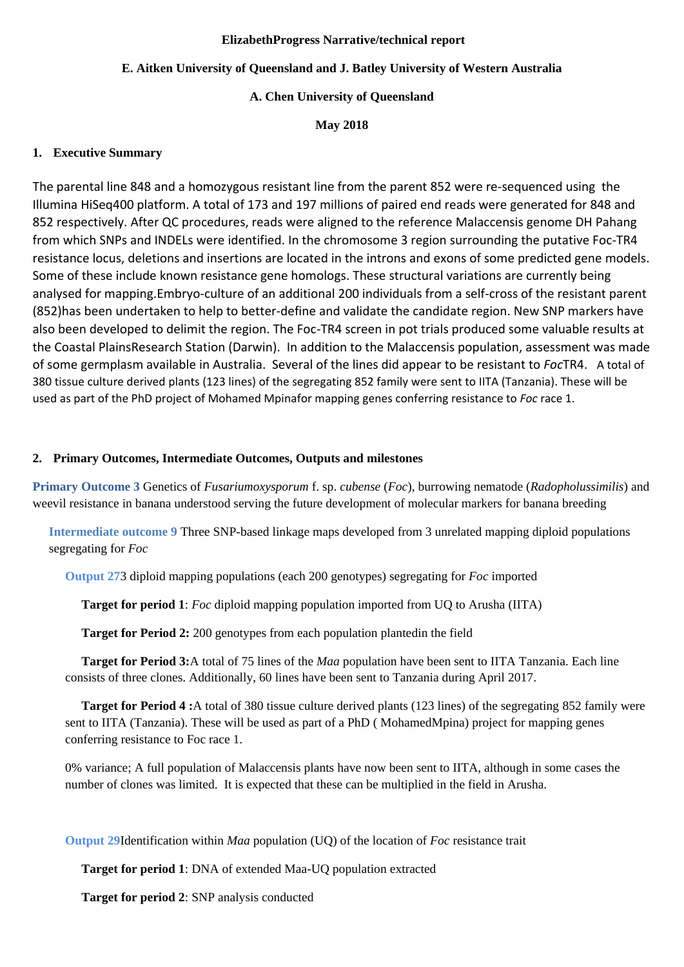#### **ElizabethProgress Narrative/technical report**

# **E. Aitken University of Queensland and J. Batley University of Western Australia**

# **A. Chen University of Queensland**

**May 2018**

# **1. Executive Summary**

The parental line 848 and a homozygous resistant line from the parent 852 were re-sequenced using the Illumina HiSeq400 platform. A total of 173 and 197 millions of paired end reads were generated for 848 and 852 respectively. After QC procedures, reads were aligned to the reference Malaccensis genome DH Pahang from which SNPs and INDELs were identified. In the chromosome 3 region surrounding the putative Foc-TR4 resistance locus, deletions and insertions are located in the introns and exons of some predicted gene models. Some of these include known resistance gene homologs. These structural variations are currently being analysed for mapping.Embryo-culture of an additional 200 individuals from a self-cross of the resistant parent (852)has been undertaken to help to better-define and validate the candidate region. New SNP markers have also been developed to delimit the region. The Foc-TR4 screen in pot trials produced some valuable results at the Coastal PlainsResearch Station (Darwin). In addition to the Malaccensis population, assessment was made of some germplasm available in Australia. Several of the lines did appear to be resistant to *Foc*TR4. A total of 380 tissue culture derived plants (123 lines) of the segregating 852 family were sent to IITA (Tanzania). These will be used as part of the PhD project of Mohamed Mpinafor mapping genes conferring resistance to *Foc* race 1.

# **2. Primary Outcomes, Intermediate Outcomes, Outputs and milestones**

**Primary Outcome 3** Genetics of *Fusariumoxysporum* f. sp. *cubense* (*Foc*), burrowing nematode (*Radopholussimilis*) and weevil resistance in banana understood serving the future development of molecular markers for banana breeding

**Intermediate outcome 9** Three SNP-based linkage maps developed from 3 unrelated mapping diploid populations segregating for *Foc*

**Output 27**3 diploid mapping populations (each 200 genotypes) segregating for *Foc* imported

**Target for period 1**: *Foc* diploid mapping population imported from UQ to Arusha (IITA)

**Target for Period 2:** 200 genotypes from each population plantedin the field

**Target for Period 3:**A total of 75 lines of the *Maa* population have been sent to IITA Tanzania. Each line consists of three clones. Additionally, 60 lines have been sent to Tanzania during April 2017.

**Target for Period 4 :**A total of 380 tissue culture derived plants (123 lines) of the segregating 852 family were sent to IITA (Tanzania). These will be used as part of a PhD ( MohamedMpina) project for mapping genes conferring resistance to Foc race 1.

0% variance; A full population of Malaccensis plants have now been sent to IITA, although in some cases the number of clones was limited. It is expected that these can be multiplied in the field in Arusha.

**Output 29**Identification within *Maa* population (UQ) of the location of *Foc* resistance trait

**Target for period 1**: DNA of extended Maa-UQ population extracted

**Target for period 2**: SNP analysis conducted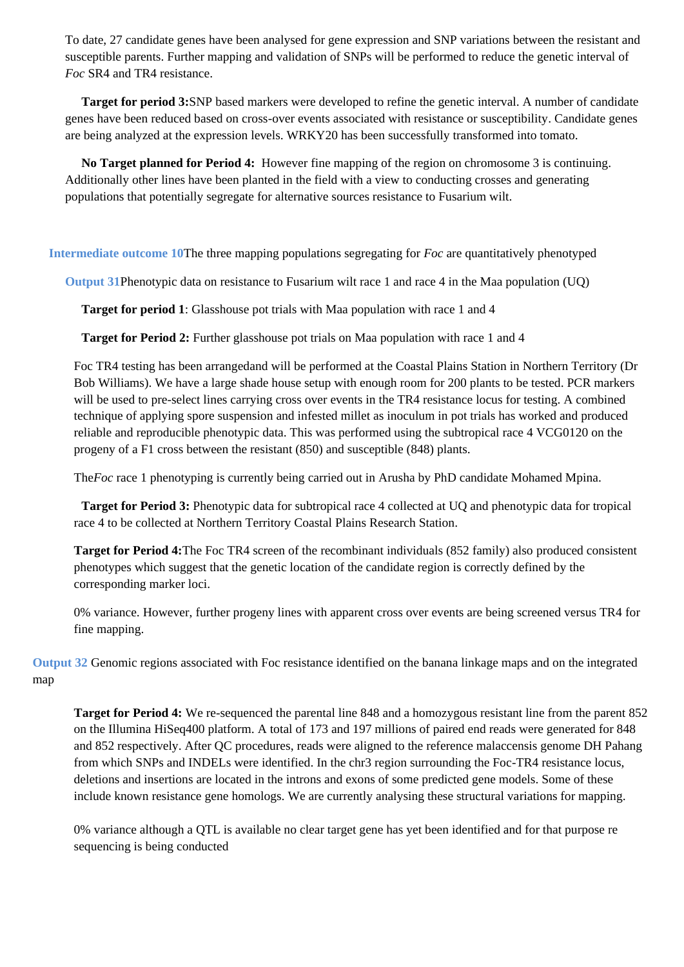To date, 27 candidate genes have been analysed for gene expression and SNP variations between the resistant and susceptible parents. Further mapping and validation of SNPs will be performed to reduce the genetic interval of *Foc* SR4 and TR4 resistance.

**Target for period 3:**SNP based markers were developed to refine the genetic interval. A number of candidate genes have been reduced based on cross-over events associated with resistance or susceptibility. Candidate genes are being analyzed at the expression levels. WRKY20 has been successfully transformed into tomato.

**No Target planned for Period 4:** However fine mapping of the region on chromosome 3 is continuing. Additionally other lines have been planted in the field with a view to conducting crosses and generating populations that potentially segregate for alternative sources resistance to Fusarium wilt.

**Intermediate outcome 10**The three mapping populations segregating for *Foc* are quantitatively phenotyped

**Output 31**Phenotypic data on resistance to Fusarium wilt race 1 and race 4 in the Maa population (UQ)

**Target for period 1**: Glasshouse pot trials with Maa population with race 1 and 4

**Target for Period 2:** Further glasshouse pot trials on Maa population with race 1 and 4

Foc TR4 testing has been arrangedand will be performed at the Coastal Plains Station in Northern Territory (Dr Bob Williams). We have a large shade house setup with enough room for 200 plants to be tested. PCR markers will be used to pre-select lines carrying cross over events in the TR4 resistance locus for testing. A combined technique of applying spore suspension and infested millet as inoculum in pot trials has worked and produced reliable and reproducible phenotypic data. This was performed using the subtropical race 4 VCG0120 on the progeny of a F1 cross between the resistant (850) and susceptible (848) plants.

The*Foc* race 1 phenotyping is currently being carried out in Arusha by PhD candidate Mohamed Mpina.

**Target for Period 3:** Phenotypic data for subtropical race 4 collected at UQ and phenotypic data for tropical race 4 to be collected at Northern Territory Coastal Plains Research Station.

**Target for Period 4:**The Foc TR4 screen of the recombinant individuals (852 family) also produced consistent phenotypes which suggest that the genetic location of the candidate region is correctly defined by the corresponding marker loci.

0% variance. However, further progeny lines with apparent cross over events are being screened versus TR4 for fine mapping.

**Output 32** Genomic regions associated with Foc resistance identified on the banana linkage maps and on the integrated map

**Target for Period 4:** We re-sequenced the parental line 848 and a homozygous resistant line from the parent 852 on the Illumina HiSeq400 platform. A total of 173 and 197 millions of paired end reads were generated for 848 and 852 respectively. After QC procedures, reads were aligned to the reference malaccensis genome DH Pahang from which SNPs and INDELs were identified. In the chr3 region surrounding the Foc-TR4 resistance locus, deletions and insertions are located in the introns and exons of some predicted gene models. Some of these include known resistance gene homologs. We are currently analysing these structural variations for mapping.

0% variance although a QTL is available no clear target gene has yet been identified and for that purpose re sequencing is being conducted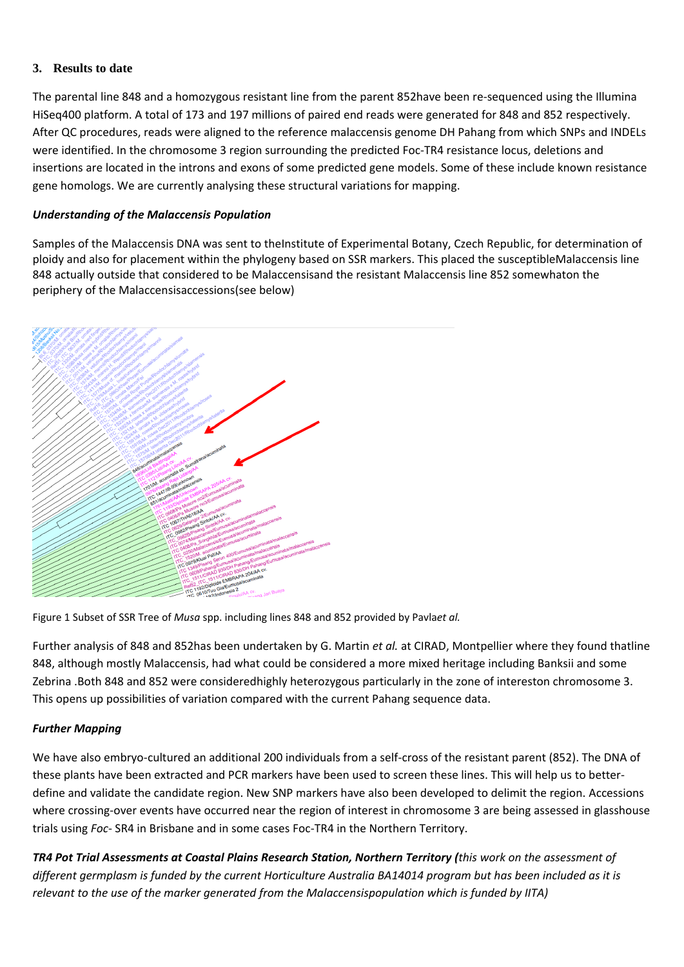# **3. Results to date**

The parental line 848 and a homozygous resistant line from the parent 852have been re-sequenced using the Illumina HiSeq400 platform. A total of 173 and 197 millions of paired end reads were generated for 848 and 852 respectively. After QC procedures, reads were aligned to the reference malaccensis genome DH Pahang from which SNPs and INDELs were identified. In the chromosome 3 region surrounding the predicted Foc-TR4 resistance locus, deletions and insertions are located in the introns and exons of some predicted gene models. Some of these include known resistance gene homologs. We are currently analysing these structural variations for mapping.

# *Understanding of the Malaccensis Population*

Samples of the Malaccensis DNA was sent to theInstitute of Experimental Botany, Czech Republic, for determination of ploidy and also for placement within the phylogeny based on SSR markers. This placed the susceptibleMalaccensis line 848 actually outside that considered to be Malaccensisand the resistant Malaccensis line 852 somewhaton the periphery of the Malaccensisaccessions(see below)



Figure 1 Subset of SSR Tree of *Musa* spp. including lines 848 and 852 provided by Pavla*et al.*

Further analysis of 848 and 852has been undertaken by G. Martin *et al.* at CIRAD, Montpellier where they found thatline 848, although mostly Malaccensis, had what could be considered a more mixed heritage including Banksii and some Zebrina .Both 848 and 852 were consideredhighly heterozygous particularly in the zone of intereston chromosome 3. This opens up possibilities of variation compared with the current Pahang sequence data.

# *Further Mapping*

We have also embryo-cultured an additional 200 individuals from a self-cross of the resistant parent (852). The DNA of these plants have been extracted and PCR markers have been used to screen these lines. This will help us to betterdefine and validate the candidate region. New SNP markers have also been developed to delimit the region. Accessions where crossing-over events have occurred near the region of interest in chromosome 3 are being assessed in glasshouse trials using *Foc*- SR4 in Brisbane and in some cases Foc-TR4 in the Northern Territory.

*TR4 Pot Trial Assessments at Coastal Plains Research Station, Northern Territory (this work on the assessment of different germplasm is funded by the current Horticulture Australia BA14014 program but has been included as it is relevant to the use of the marker generated from the Malaccensispopulation which is funded by IITA*)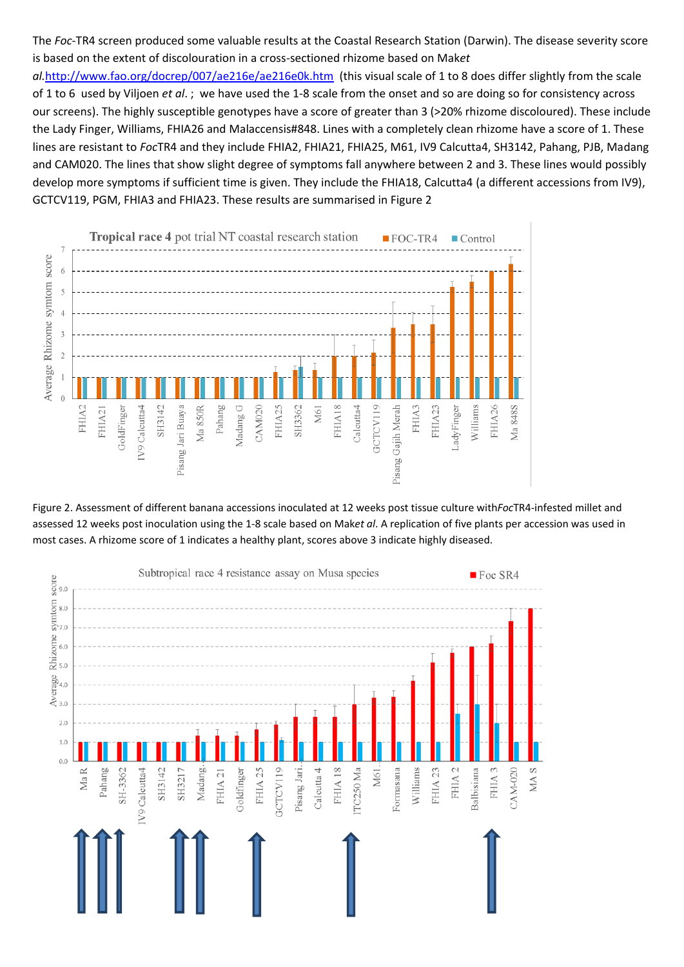The *Foc*-TR4 screen produced some valuable results at the Coastal Research Station (Darwin). The disease severity score is based on the extent of discolouration in a cross-sectioned rhizome based on Mak*et* 

al.<http://www.fao.org/docrep/007/ae216e/ae216e0k.htm>(this visual scale of 1 to 8 does differ slightly from the scale of 1 to 6 used by Viljoen *et al*. ; we have used the 1-8 scale from the onset and so are doing so for consistency across our screens). The highly susceptible genotypes have a score of greater than 3 (>20% rhizome discoloured). These include the Lady Finger, Williams, FHIA26 and Malaccensis#848. Lines with a completely clean rhizome have a score of 1. These lines are resistant to *Foc*TR4 and they include FHIA2, FHIA21, FHIA25, M61, IV9 Calcutta4, SH3142, Pahang, PJB, Madang and CAM020. The lines that show slight degree of symptoms fall anywhere between 2 and 3. These lines would possibly develop more symptoms if sufficient time is given. They include the FHIA18, Calcutta4 (a different accessions from IV9), GCTCV119, PGM, FHIA3 and FHIA23. These results are summarised in Figure 2



Figure 2. Assessment of different banana accessions inoculated at 12 weeks post tissue culture with*Foc*TR4-infested millet and assessed 12 weeks post inoculation using the 1-8 scale based on Mak*et al*. A replication of five plants per accession was used in most cases. A rhizome score of 1 indicates a healthy plant, scores above 3 indicate highly diseased.